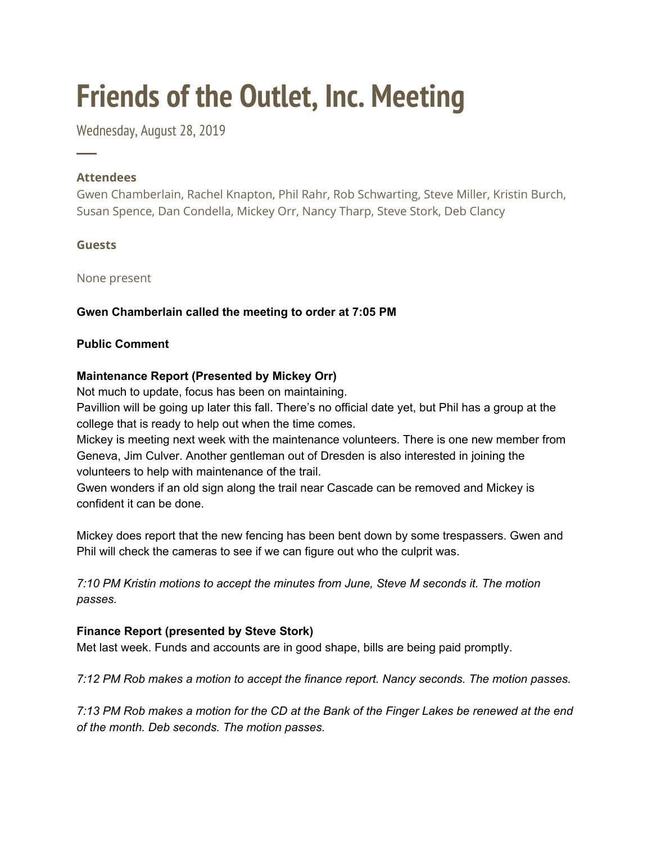# **Friends of the Outlet, Inc. Meeting**

Wednesday, August 28, 2019

# **Attendees**

─

Gwen Chamberlain, Rachel Knapton, Phil Rahr, Rob Schwarting, Steve Miller, Kristin Burch, Susan Spence, Dan Condella, Mickey Orr, Nancy Tharp, Steve Stork, Deb Clancy

# **Guests**

None present

# **Gwen Chamberlain called the meeting to order at 7:05 PM**

## **Public Comment**

# **Maintenance Report (Presented by Mickey Orr)**

Not much to update, focus has been on maintaining.

Pavillion will be going up later this fall. There's no official date yet, but Phil has a group at the college that is ready to help out when the time comes.

Mickey is meeting next week with the maintenance volunteers. There is one new member from Geneva, Jim Culver. Another gentleman out of Dresden is also interested in joining the volunteers to help with maintenance of the trail.

Gwen wonders if an old sign along the trail near Cascade can be removed and Mickey is confident it can be done.

Mickey does report that the new fencing has been bent down by some trespassers. Gwen and Phil will check the cameras to see if we can figure out who the culprit was.

*7:10 PM Kristin motions to accept the minutes from June, Steve M seconds it. The motion passes.*

# **Finance Report (presented by Steve Stork)**

Met last week. Funds and accounts are in good shape, bills are being paid promptly.

*7:12 PM Rob makes a motion to accept the finance report. Nancy seconds. The motion passes.*

7:13 PM Rob makes a motion for the CD at the Bank of the Finger Lakes be renewed at the end *of the month. Deb seconds. The motion passes.*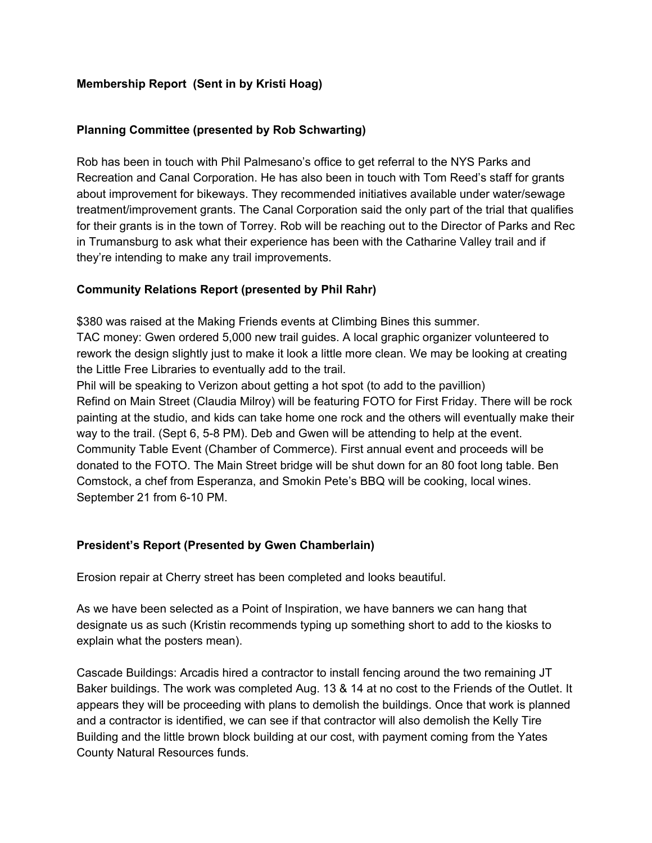## **Membership Report (Sent in by Kristi Hoag)**

### **Planning Committee (presented by Rob Schwarting)**

Rob has been in touch with Phil Palmesano's office to get referral to the NYS Parks and Recreation and Canal Corporation. He has also been in touch with Tom Reed's staff for grants about improvement for bikeways. They recommended initiatives available under water/sewage treatment/improvement grants. The Canal Corporation said the only part of the trial that qualifies for their grants is in the town of Torrey. Rob will be reaching out to the Director of Parks and Rec in Trumansburg to ask what their experience has been with the Catharine Valley trail and if they're intending to make any trail improvements.

### **Community Relations Report (presented by Phil Rahr)**

\$380 was raised at the Making Friends events at Climbing Bines this summer.

TAC money: Gwen ordered 5,000 new trail guides. A local graphic organizer volunteered to rework the design slightly just to make it look a little more clean. We may be looking at creating the Little Free Libraries to eventually add to the trail.

Phil will be speaking to Verizon about getting a hot spot (to add to the pavillion) Refind on Main Street (Claudia Milroy) will be featuring FOTO for First Friday. There will be rock painting at the studio, and kids can take home one rock and the others will eventually make their way to the trail. (Sept 6, 5-8 PM). Deb and Gwen will be attending to help at the event. Community Table Event (Chamber of Commerce). First annual event and proceeds will be donated to the FOTO. The Main Street bridge will be shut down for an 80 foot long table. Ben Comstock, a chef from Esperanza, and Smokin Pete's BBQ will be cooking, local wines. September 21 from 6-10 PM.

#### **President's Report (Presented by Gwen Chamberlain)**

Erosion repair at Cherry street has been completed and looks beautiful.

As we have been selected as a Point of Inspiration, we have banners we can hang that designate us as such (Kristin recommends typing up something short to add to the kiosks to explain what the posters mean).

Cascade Buildings: Arcadis hired a contractor to install fencing around the two remaining JT Baker buildings. The work was completed Aug. 13 & 14 at no cost to the Friends of the Outlet. It appears they will be proceeding with plans to demolish the buildings. Once that work is planned and a contractor is identified, we can see if that contractor will also demolish the Kelly Tire Building and the little brown block building at our cost, with payment coming from the Yates County Natural Resources funds.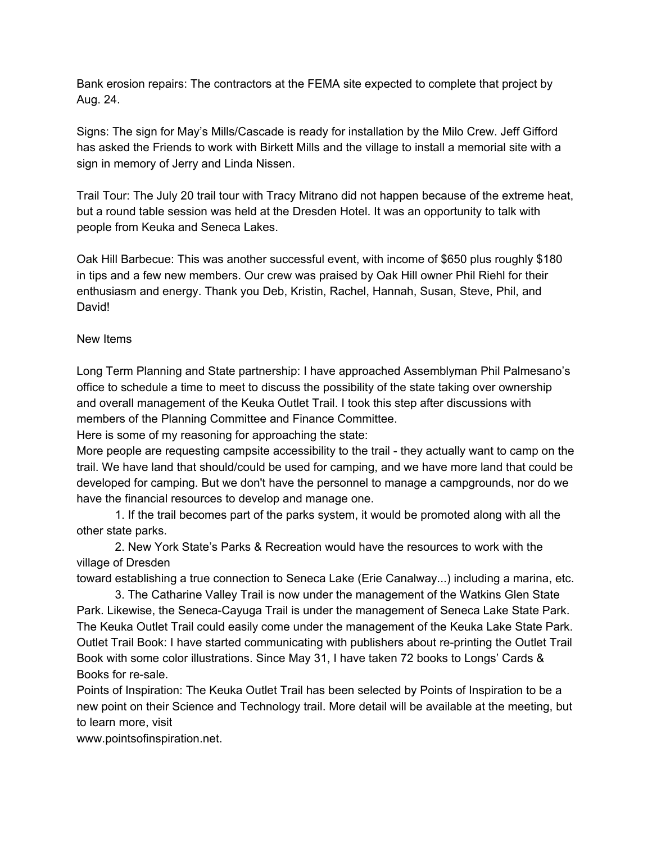Bank erosion repairs: The contractors at the FEMA site expected to complete that project by Aug. 24.

Signs: The sign for May's Mills/Cascade is ready for installation by the Milo Crew. Jeff Gifford has asked the Friends to work with Birkett Mills and the village to install a memorial site with a sign in memory of Jerry and Linda Nissen.

Trail Tour: The July 20 trail tour with Tracy Mitrano did not happen because of the extreme heat, but a round table session was held at the Dresden Hotel. It was an opportunity to talk with people from Keuka and Seneca Lakes.

Oak Hill Barbecue: This was another successful event, with income of \$650 plus roughly \$180 in tips and a few new members. Our crew was praised by Oak Hill owner Phil Riehl for their enthusiasm and energy. Thank you Deb, Kristin, Rachel, Hannah, Susan, Steve, Phil, and David!

### New Items

Long Term Planning and State partnership: I have approached Assemblyman Phil Palmesano's office to schedule a time to meet to discuss the possibility of the state taking over ownership and overall management of the Keuka Outlet Trail. I took this step after discussions with members of the Planning Committee and Finance Committee.

Here is some of my reasoning for approaching the state:

More people are requesting campsite accessibility to the trail - they actually want to camp on the trail. We have land that should/could be used for camping, and we have more land that could be developed for camping. But we don't have the personnel to manage a campgrounds, nor do we have the financial resources to develop and manage one.

1. If the trail becomes part of the parks system, it would be promoted along with all the other state parks.

2. New York State's Parks & Recreation would have the resources to work with the village of Dresden

toward establishing a true connection to Seneca Lake (Erie Canalway...) including a marina, etc.

3. The Catharine Valley Trail is now under the management of the Watkins Glen State Park. Likewise, the Seneca-Cayuga Trail is under the management of Seneca Lake State Park. The Keuka Outlet Trail could easily come under the management of the Keuka Lake State Park. Outlet Trail Book: I have started communicating with publishers about re-printing the Outlet Trail Book with some color illustrations. Since May 31, I have taken 72 books to Longs' Cards & Books for re-sale.

Points of Inspiration: The Keuka Outlet Trail has been selected by Points of Inspiration to be a new point on their Science and Technology trail. More detail will be available at the meeting, but to learn more, visit

www.pointsofinspiration.net.